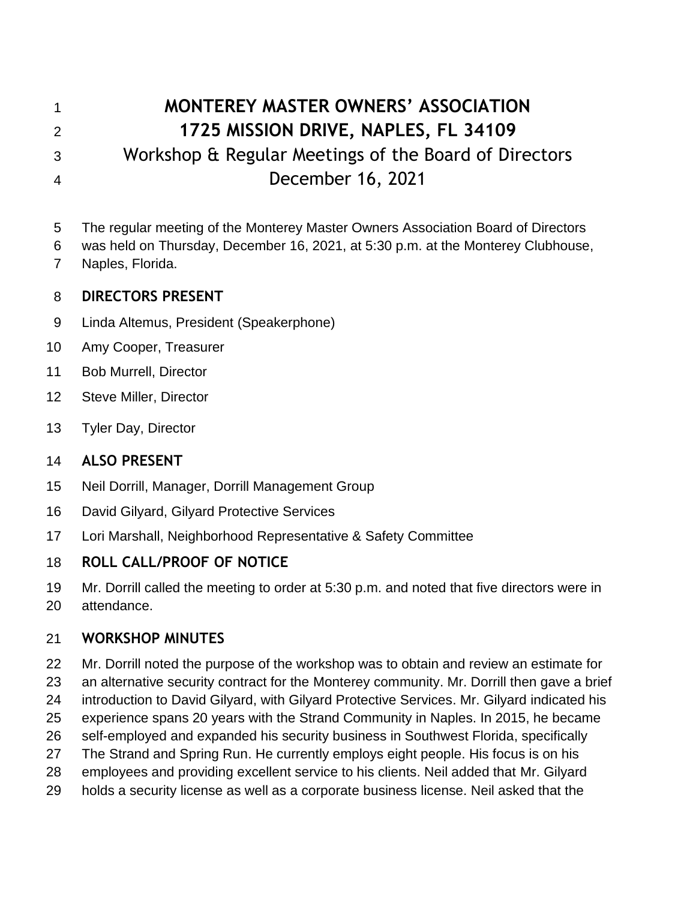# **MONTEREY MASTER OWNERS' ASSOCIATION 1725 MISSION DRIVE, NAPLES, FL 34109** Workshop & Regular Meetings of the Board of Directors December 16, 2021

- The regular meeting of the Monterey Master Owners Association Board of Directors
- was held on Thursday, December 16, 2021, at 5:30 p.m. at the Monterey Clubhouse,
- Naples, Florida.

## **DIRECTORS PRESENT**

- Linda Altemus, President (Speakerphone)
- Amy Cooper, Treasurer
- Bob Murrell, Director
- Steve Miller, Director
- Tyler Day, Director

## **ALSO PRESENT**

- Neil Dorrill, Manager, Dorrill Management Group
- David Gilyard, Gilyard Protective Services
- Lori Marshall, Neighborhood Representative & Safety Committee

# **ROLL CALL/PROOF OF NOTICE**

- Mr. Dorrill called the meeting to order at 5:30 p.m. and noted that five directors were in
- attendance.

# **WORKSHOP MINUTES**

 Mr. Dorrill noted the purpose of the workshop was to obtain and review an estimate for an alternative security contract for the Monterey community. Mr. Dorrill then gave a brief introduction to David Gilyard, with Gilyard Protective Services. Mr. Gilyard indicated his experience spans 20 years with the Strand Community in Naples. In 2015, he became self-employed and expanded his security business in Southwest Florida, specifically The Strand and Spring Run. He currently employs eight people. His focus is on his employees and providing excellent service to his clients. Neil added that Mr. Gilyard holds a security license as well as a corporate business license. Neil asked that the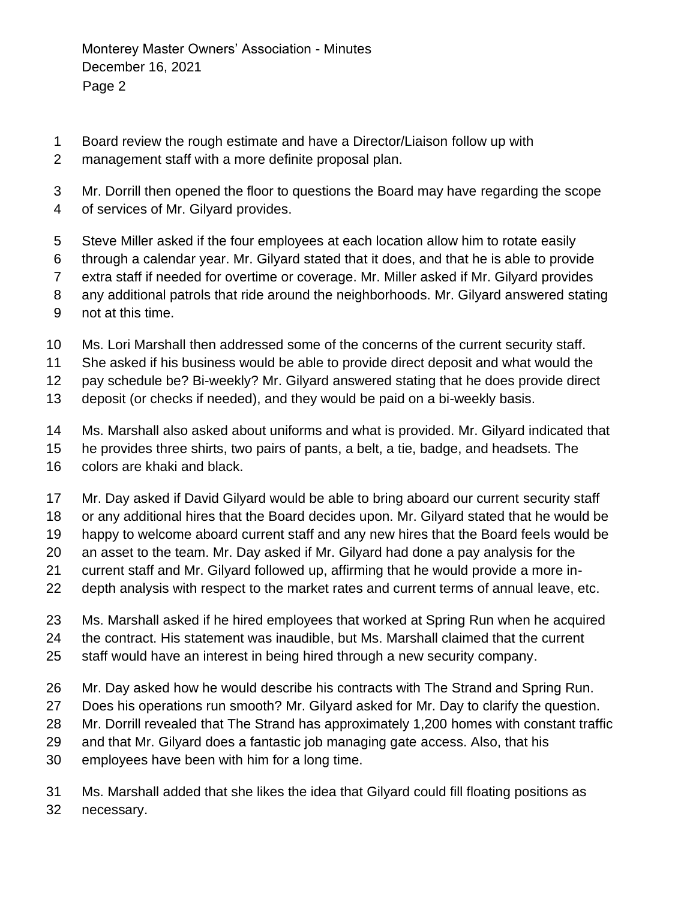- Board review the rough estimate and have a Director/Liaison follow up with
- management staff with a more definite proposal plan.
- Mr. Dorrill then opened the floor to questions the Board may have regarding the scope
- of services of Mr. Gilyard provides.
- Steve Miller asked if the four employees at each location allow him to rotate easily
- through a calendar year. Mr. Gilyard stated that it does, and that he is able to provide
- extra staff if needed for overtime or coverage. Mr. Miller asked if Mr. Gilyard provides
- any additional patrols that ride around the neighborhoods. Mr. Gilyard answered stating
- not at this time.
- Ms. Lori Marshall then addressed some of the concerns of the current security staff.
- She asked if his business would be able to provide direct deposit and what would the
- pay schedule be? Bi-weekly? Mr. Gilyard answered stating that he does provide direct
- deposit (or checks if needed), and they would be paid on a bi-weekly basis.
- Ms. Marshall also asked about uniforms and what is provided. Mr. Gilyard indicated that
- he provides three shirts, two pairs of pants, a belt, a tie, badge, and headsets. The
- colors are khaki and black.
- Mr. Day asked if David Gilyard would be able to bring aboard our current security staff
- or any additional hires that the Board decides upon. Mr. Gilyard stated that he would be
- happy to welcome aboard current staff and any new hires that the Board feels would be
- an asset to the team. Mr. Day asked if Mr. Gilyard had done a pay analysis for the
- current staff and Mr. Gilyard followed up, affirming that he would provide a more in-
- depth analysis with respect to the market rates and current terms of annual leave, etc.
- Ms. Marshall asked if he hired employees that worked at Spring Run when he acquired
- the contract. His statement was inaudible, but Ms. Marshall claimed that the current
- staff would have an interest in being hired through a new security company.
- Mr. Day asked how he would describe his contracts with The Strand and Spring Run.
- Does his operations run smooth? Mr. Gilyard asked for Mr. Day to clarify the question.
- Mr. Dorrill revealed that The Strand has approximately 1,200 homes with constant traffic
- and that Mr. Gilyard does a fantastic job managing gate access. Also, that his
- employees have been with him for a long time.
- Ms. Marshall added that she likes the idea that Gilyard could fill floating positions as necessary.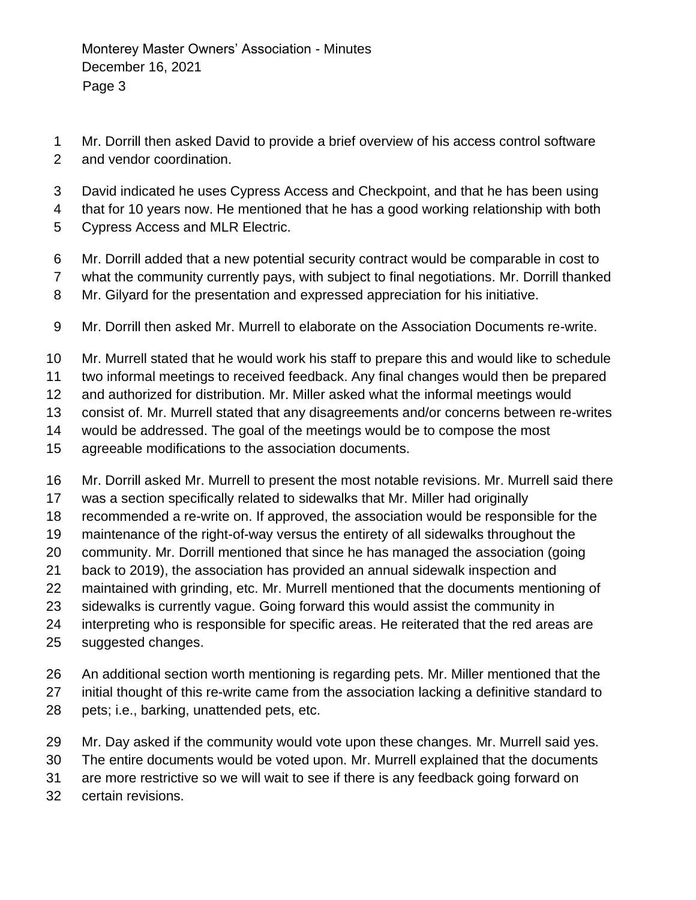- Mr. Dorrill then asked David to provide a brief overview of his access control software
- and vendor coordination.
- David indicated he uses Cypress Access and Checkpoint, and that he has been using
- that for 10 years now. He mentioned that he has a good working relationship with both
- Cypress Access and MLR Electric.
- Mr. Dorrill added that a new potential security contract would be comparable in cost to
- what the community currently pays, with subject to final negotiations. Mr. Dorrill thanked
- Mr. Gilyard for the presentation and expressed appreciation for his initiative.
- Mr. Dorrill then asked Mr. Murrell to elaborate on the Association Documents re-write.
- Mr. Murrell stated that he would work his staff to prepare this and would like to schedule
- two informal meetings to received feedback. Any final changes would then be prepared
- and authorized for distribution. Mr. Miller asked what the informal meetings would
- consist of. Mr. Murrell stated that any disagreements and/or concerns between re-writes
- would be addressed. The goal of the meetings would be to compose the most
- agreeable modifications to the association documents.
- Mr. Dorrill asked Mr. Murrell to present the most notable revisions. Mr. Murrell said there
- was a section specifically related to sidewalks that Mr. Miller had originally
- recommended a re-write on. If approved, the association would be responsible for the
- maintenance of the right-of-way versus the entirety of all sidewalks throughout the
- community. Mr. Dorrill mentioned that since he has managed the association (going
- back to 2019), the association has provided an annual sidewalk inspection and
- maintained with grinding, etc. Mr. Murrell mentioned that the documents mentioning of
- sidewalks is currently vague. Going forward this would assist the community in
- interpreting who is responsible for specific areas. He reiterated that the red areas are
- suggested changes.
- An additional section worth mentioning is regarding pets. Mr. Miller mentioned that the
- initial thought of this re-write came from the association lacking a definitive standard to
- pets; i.e., barking, unattended pets, etc.
- Mr. Day asked if the community would vote upon these changes. Mr. Murrell said yes.
- The entire documents would be voted upon. Mr. Murrell explained that the documents
- are more restrictive so we will wait to see if there is any feedback going forward on
- certain revisions.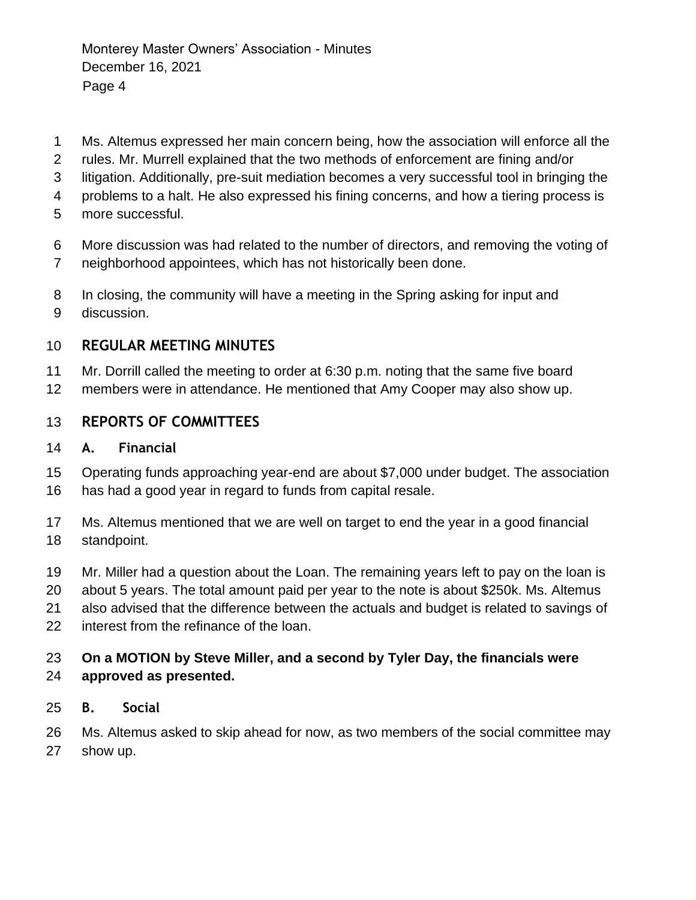- Ms. Altemus expressed her main concern being, how the association will enforce all the
- rules. Mr. Murrell explained that the two methods of enforcement are fining and/or
- litigation. Additionally, pre-suit mediation becomes a very successful tool in bringing the
- problems to a halt. He also expressed his fining concerns, and how a tiering process is
- more successful.
- More discussion was had related to the number of directors, and removing the voting of
- neighborhood appointees, which has not historically been done.
- In closing, the community will have a meeting in the Spring asking for input and
- discussion.

# **REGULAR MEETING MINUTES**

- Mr. Dorrill called the meeting to order at 6:30 p.m. noting that the same five board
- members were in attendance. He mentioned that Amy Cooper may also show up.

# **REPORTS OF COMMITTEES**

## **A. Financial**

- Operating funds approaching year-end are about \$7,000 under budget. The association has had a good year in regard to funds from capital resale.
- Ms. Altemus mentioned that we are well on target to end the year in a good financial standpoint.
- Mr. Miller had a question about the Loan. The remaining years left to pay on the loan is
- about 5 years. The total amount paid per year to the note is about \$250k. Ms. Altemus
- also advised that the difference between the actuals and budget is related to savings of
- interest from the refinance of the loan.

#### **On a MOTION by Steve Miller, and a second by Tyler Day, the financials were approved as presented.**

**B. Social** 

 Ms. Altemus asked to skip ahead for now, as two members of the social committee may show up.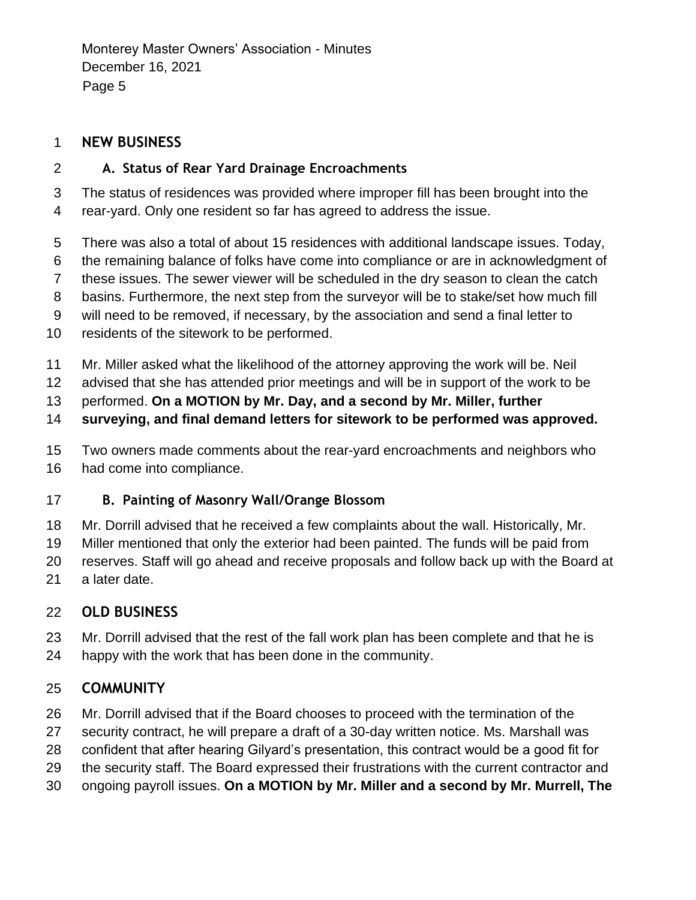Monterey Master Owners' Association - Minutes December 16, 2021 Page 5

## **NEW BUSINESS**

## **A. Status of Rear Yard Drainage Encroachments**

 The status of residences was provided where improper fill has been brought into the rear-yard. Only one resident so far has agreed to address the issue.

- There was also a total of about 15 residences with additional landscape issues. Today,
- the remaining balance of folks have come into compliance or are in acknowledgment of
- these issues. The sewer viewer will be scheduled in the dry season to clean the catch
- basins. Furthermore, the next step from the surveyor will be to stake/set how much fill
- will need to be removed, if necessary, by the association and send a final letter to
- residents of the sitework to be performed.
- Mr. Miller asked what the likelihood of the attorney approving the work will be. Neil
- advised that she has attended prior meetings and will be in support of the work to be
- performed. **On a MOTION by Mr. Day, and a second by Mr. Miller, further**
- **surveying, and final demand letters for sitework to be performed was approved.**
- Two owners made comments about the rear-yard encroachments and neighbors who had come into compliance.

## **B. Painting of Masonry Wall/Orange Blossom**

- Mr. Dorrill advised that he received a few complaints about the wall. Historically, Mr.
- Miller mentioned that only the exterior had been painted. The funds will be paid from
- reserves. Staff will go ahead and receive proposals and follow back up with the Board at
- a later date.

# **OLD BUSINESS**

 Mr. Dorrill advised that the rest of the fall work plan has been complete and that he is happy with the work that has been done in the community.

# **COMMUNITY**

- Mr. Dorrill advised that if the Board chooses to proceed with the termination of the
- security contract, he will prepare a draft of a 30-day written notice. Ms. Marshall was
- confident that after hearing Gilyard's presentation, this contract would be a good fit for
- the security staff. The Board expressed their frustrations with the current contractor and
- ongoing payroll issues. **On a MOTION by Mr. Miller and a second by Mr. Murrell, The**